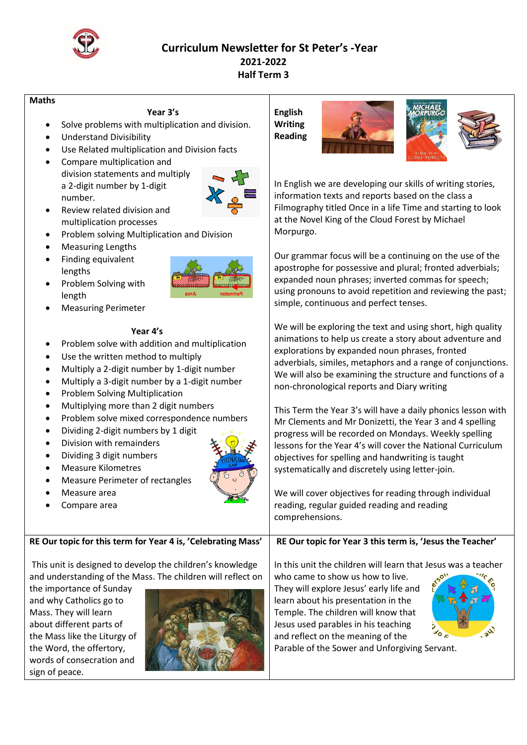

## **Curriculum Newsletter for St Peter's -Year 2021-2022 Half Term 3**

### **Maths**

### **Year 3's**

- Solve problems with multiplication and division.
- Understand Divisibility
- Use Related multiplication and Division facts
- Compare multiplication and division statements and multiply a 2-digit number by 1-digit number.



- Review related division and multiplication processes
- Problem solving Multiplication and Division
- Measuring Lengths
- Finding equivalent lengths
- Problem Solving with length
- Measuring Perimeter

## **Year 4's**

- Problem solve with addition and multiplication
- Use the written method to multiply
- Multiply a 2-digit number by 1-digit number
- Multiply a 3-digit number by a 1-digit number
- Problem Solving Multiplication
- Multiplying more than 2 digit numbers
- Problem solve mixed correspondence numbers
- Dividing 2-digit numbers by 1 digit
- Division with remainders
- Dividing 3 digit numbers
- Measure Kilometres
- Measure Perimeter of rectangles
- Measure area
- Compare area

**RE Our topic for this term for Year 4 is, 'Celebrating Mass'**

This unit is designed to develop the children's knowledge and understanding of the Mass. The children will reflect on

the importance of Sunday and why Catholics go to Mass. They will learn about different parts of the Mass like the Liturgy of the Word, the offertory, words of consecration and sign of peace.



# **English Writing Reading**





In English we are developing our skills of writing stories, information texts and reports based on the class a Filmography titled Once in a life Time and starting to look at the Novel King of the Cloud Forest by Michael Morpurgo.

Our grammar focus will be a continuing on the use of the apostrophe for possessive and plural; fronted adverbials; expanded noun phrases; inverted commas for speech; using pronouns to avoid repetition and reviewing the past; simple, continuous and perfect tenses.

We will be exploring the text and using short, high quality animations to help us create a story about adventure and explorations by expanded noun phrases, fronted adverbials, similes, metaphors and a range of conjunctions. We will also be examining the structure and functions of a non-chronological reports and Diary writing

This Term the Year 3's will have a daily phonics lesson with Mr Clements and Mr Donizetti, the Year 3 and 4 spelling progress will be recorded on Mondays. Weekly spelling lessons for the Year 4's will cover the National Curriculum objectives for spelling and handwriting is taught systematically and discretely using letter-join.

We will cover objectives for reading through individual reading, regular guided reading and reading comprehensions.

**RE Our topic for Year 3 this term is, 'Jesus the Teacher'**

In this unit the children will learn that Jesus was a teacher

who came to show us how to live. They will explore Jesus' early life and learn about his presentation in the Temple. The children will know that Jesus used parables in his teaching and reflect on the meaning of the



Parable of the Sower and Unforgiving Servant.